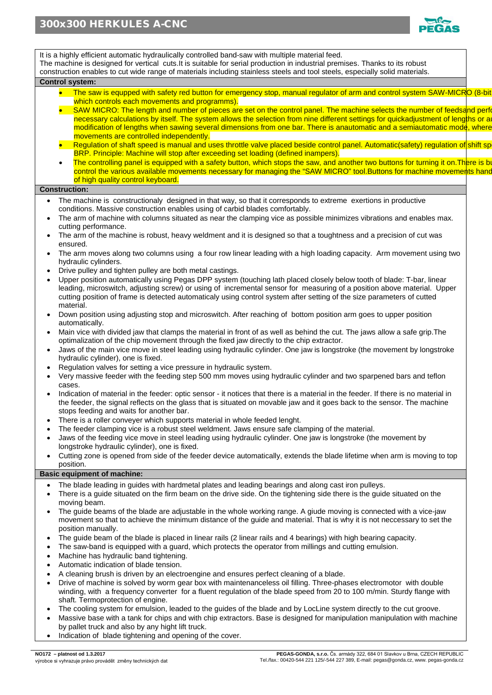

It is a highly efficient automatic hydraulically controlled band-saw with multiple material feed. The machine is designed for vertical cuts.It is suitable for serial production in industrial premises. Thanks to its robust construction enables to cut wide range of materials including stainless steels and tool steels, especially solid materials. **Control system:** • The saw is equpped with safety red button for emergency stop, manual regulator of arm and control system SAW-MICRO (8-bit which controls each movements and programms). SAW MICRO: The length and number of pieces are set on the control panel. The machine selects the number of feedsand performation necessary calculations by itself. The system allows the selection from nine different settings for quickadjustment of lengths or a modification of lengths when sawing several dimensions from one bar. There is anautomatic and a semiautomatic mode, where movements are controlled independently. • Regulation of shaft speed is manual and uses throttle valve placed beside control panel. Automatic(safety) regulation of shift sp BRP. Principle: Machine will stop after exceeding set loading (defined inampers). The controlling panel is equipped with a safety button, which stops the saw, and another two buttons for turning it on. There is be control the various available movements necessary for managing the "SAW MICRO" tool.Buttons for machine movements hand of high quality control keyboard. **Construction:** The machine is constructionaly designed in that way, so that it corresponds to extreme exertions in productive conditions. Massive construction enables using of carbid blades comfortably. The arm of machine with columns situated as near the clamping vice as possible minimizes vibrations and enables max. cutting performance. The arm of the machine is robust, heavy weldment and it is designed so that a toughtness and a precision of cut was ensured. • The arm moves along two columns using a four row linear leading with a high loading capacity. Arm movement using two hydraulic cylinders. • Drive pulley and tighten pulley are both metal castings. • Upper position automatically using Pegas DPP system (touching lath placed closely below tooth of blade: T-bar, linear leading, microswitch, adjusting screw) or using of incremental sensor for measuring of a position above material. Upper cutting position of frame is detected automaticaly using control system after setting of the size parameters of cutted material. • Down position using adjusting stop and microswitch. After reaching of bottom position arm goes to upper position automatically. • Main vice with divided jaw that clamps the material in front of as well as behind the cut. The jaws allow a safe grip.The optimalization of the chip movement through the fixed jaw directly to the chip extractor. • Jaws of the main vice move in steel leading using hydraulic cylinder. One jaw is longstroke (the movement by longstroke hydraulic cylinder), one is fixed. • Regulation valves for setting a vice pressure in hydraulic system. • Very massive feeder with the feeding step 500 mm moves using hydraulic cylinder and two sparpened bars and teflon cases. • Indication of material in the feeder: optic sensor - it notices that there is a material in the feeder. If there is no material in the feeder, the signal reflects on the glass that is situated on movable jaw and it goes back to the sensor. The machine stops feeding and waits for another bar. There is a roller conveyer which supports material in whole feeded lenght. • The feeder clamping vice is a robust steel weldment. Jaws ensure safe clamping of the material. • Jaws of the feeding vice move in steel leading using hydraulic cylinder. One jaw is longstroke (the movement by longstroke hydraulic cylinder), one is fixed. • Cutting zone is opened from side of the feeder device automatically, extends the blade lifetime when arm is moving to top position. **Basic equipment of machine:** The blade leading in guides with hardmetal plates and leading bearings and along cast iron pulleys. • There is a guide situated on the firm beam on the drive side. On the tightening side there is the guide situated on the moving beam. • The guide beams of the blade are adjustable in the whole working range. A giude moving is connected with a vice-jaw movement so that to achieve the minimum distance of the guide and material. That is why it is not neccessary to set the position manually. • The guide beam of the blade is placed in linear rails (2 linear rails and 4 bearings) with high bearing capacity. • The saw-band is equipped with a guard, which protects the operator from millings and cutting emulsion. Machine has hydraulic band tightening. • Automatic indication of blade tension. • A cleaning brush is driven by an electroengine and ensures perfect cleaning of a blade. • Drive of machine is solved by worm gear box with maintenanceless oil filling. Three-phases electromotor with double winding, with a frequency converter for a fluent regulation of the blade speed from 20 to 100 m/min. Sturdy flange with shaft. Termoprotection of engine. The cooling system for emulsion, leaded to the guides of the blade and by LocLine system directly to the cut groove.

- Massive base with a tank for chips and with chip extractors. Base is designed for manipulation manipulation with machine by pallet truck and also by any hight lift truck.
- Indication of blade tightening and opening of the cover.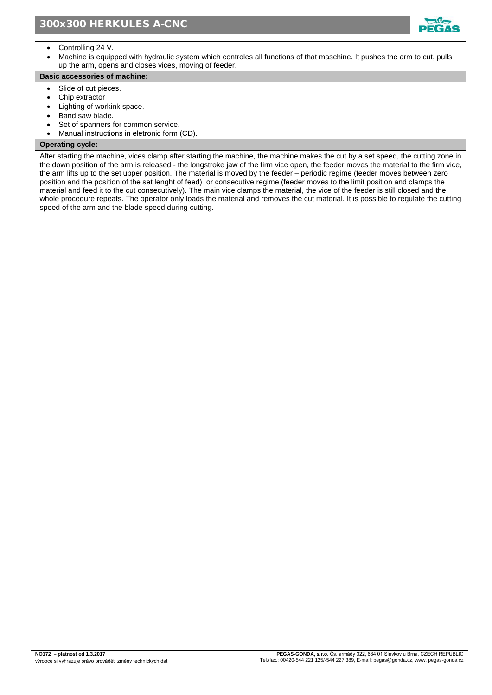

- Controlling 24 V.
- Machine is equipped with hydraulic system which controles all functions of that maschine. It pushes the arm to cut, pulls up the arm, opens and closes vices, moving of feeder.

## **Basic accessories of machine:**

- Slide of cut pieces.
- Chip extractor
- Lighting of workink space.
- Band saw blade.
- Set of spanners for common service.
- Manual instructions in eletronic form (CD).

## **Operating cycle:**

After starting the machine, vices clamp after starting the machine, the machine makes the cut by a set speed, the cutting zone in the down position of the arm is released - the longstroke jaw of the firm vice open, the feeder moves the material to the firm vice, the arm lifts up to the set upper position. The material is moved by the feeder – periodic regime (feeder moves between zero position and the position of the set lenght of feed) or consecutive regime (feeder moves to the limit position and clamps the material and feed it to the cut consecutively). The main vice clamps the material, the vice of the feeder is still closed and the whole procedure repeats. The operator only loads the material and removes the cut material. It is possible to regulate the cutting speed of the arm and the blade speed during cutting.